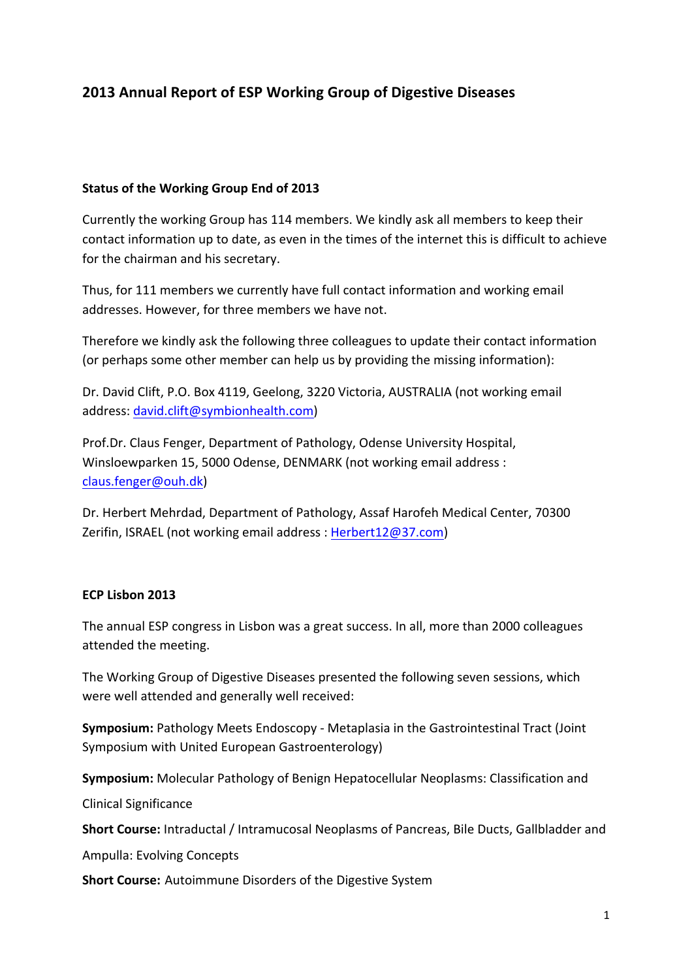# **2013 Annual Report of ESP Working Group of Digestive Diseases**

#### **Status of the Working Group End of 2013**

Currently the working Group has 114 members. We kindly ask all members to keep their contact information up to date, as even in the times of the internet this is difficult to achieve for the chairman and his secretary.

Thus, for 111 members we currently have full contact information and working email addresses. However, for three members we have not.

Therefore we kindly ask the following three colleagues to update their contact information (or perhaps some other member can help us by providing the missing information):

Dr. David Clift, P.O. Box 4119, Geelong, 3220 Victoria, AUSTRALIA (not working email address: david.clift@symbionhealth.com)

Prof.Dr. Claus Fenger, Department of Pathology, Odense University Hospital, Winsloewparken 15, 5000 Odense, DENMARK (not working email address : claus.fenger@ouh.dk)

Dr. Herbert Mehrdad, Department of Pathology, Assaf Harofeh Medical Center, 70300 Zerifin, ISRAEL (not working email address : Herbert12@37.com)

#### **ECP Lisbon 2013**

The annual ESP congress in Lisbon was a great success. In all, more than 2000 colleagues attended the meeting.

The Working Group of Digestive Diseases presented the following seven sessions, which were well attended and generally well received:

**Symposium:** Pathology Meets Endoscopy - Metaplasia in the Gastrointestinal Tract (Joint Symposium with United European Gastroenterology)

**Symposium:** Molecular Pathology of Benign Hepatocellular Neoplasms: Classification and

Clinical Significance

**Short Course:** Intraductal / Intramucosal Neoplasms of Pancreas, Bile Ducts, Gallbladder and

Ampulla: Evolving Concepts

**Short Course:** Autoimmune Disorders of the Digestive System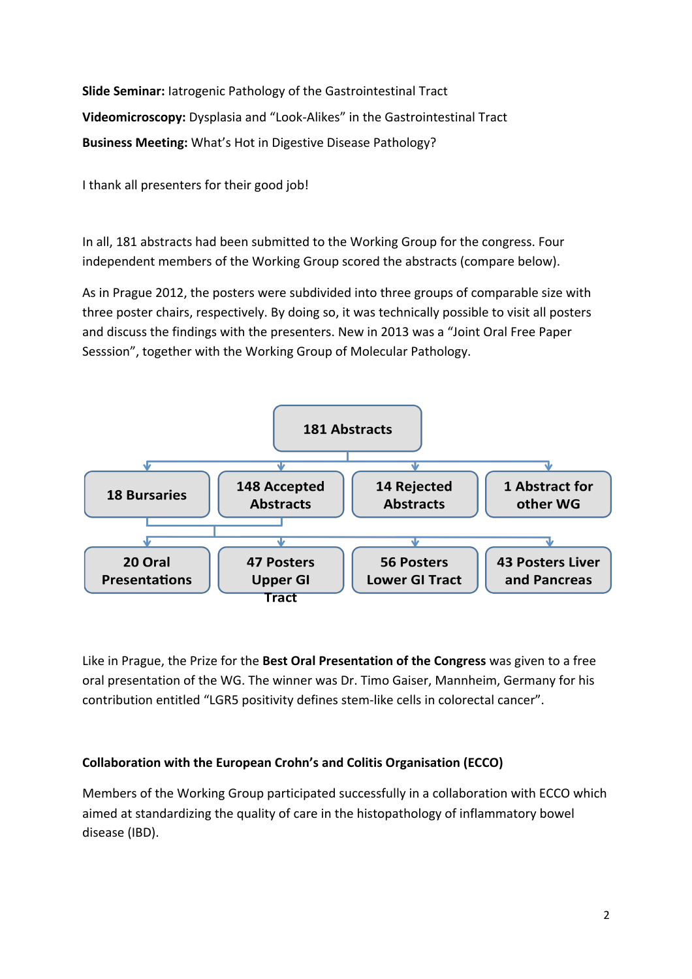**Slide Seminar:** latrogenic Pathology of the Gastrointestinal Tract **Videomicroscopy:** Dysplasia and "Look-Alikes" in the Gastrointestinal Tract **Business Meeting:** What's Hot in Digestive Disease Pathology?

I thank all presenters for their good job!

In all, 181 abstracts had been submitted to the Working Group for the congress. Four independent members of the Working Group scored the abstracts (compare below).

As in Prague 2012, the posters were subdivided into three groups of comparable size with three poster chairs, respectively. By doing so, it was technically possible to visit all posters and discuss the findings with the presenters. New in 2013 was a "Joint Oral Free Paper Sesssion", together with the Working Group of Molecular Pathology.



Like in Prague, the Prize for the Best Oral Presentation of the Congress was given to a free oral presentation of the WG. The winner was Dr. Timo Gaiser, Mannheim, Germany for his contribution entitled "LGR5 positivity defines stem-like cells in colorectal cancer".

### **Collaboration with the European Crohn's and Colitis Organisation (ECCO)**

Members of the Working Group participated successfully in a collaboration with ECCO which aimed at standardizing the quality of care in the histopathology of inflammatory bowel disease (IBD).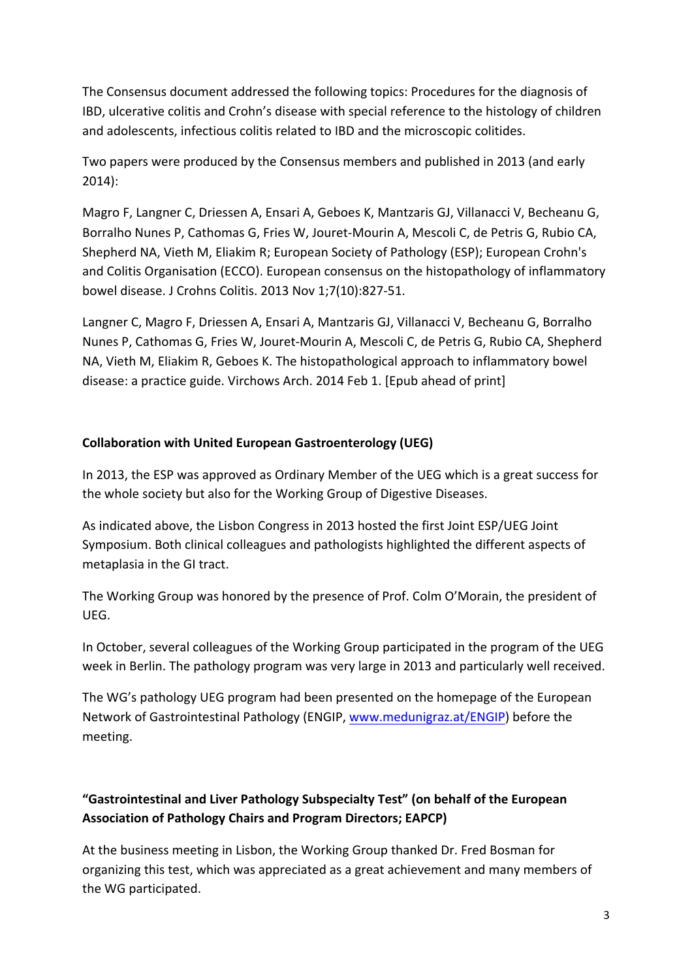The Consensus document addressed the following topics: Procedures for the diagnosis of IBD, ulcerative colitis and Crohn's disease with special reference to the histology of children and adolescents, infectious colitis related to IBD and the microscopic colitides.

Two papers were produced by the Consensus members and published in 2013 (and early 2014): 

Magro F, Langner C, Driessen A, Ensari A, Geboes K, Mantzaris GJ, Villanacci V, Becheanu G, Borralho Nunes P, Cathomas G, Fries W, Jouret-Mourin A, Mescoli C, de Petris G, Rubio CA, Shepherd NA, Vieth M, Eliakim R; European Society of Pathology (ESP); European Crohn's and Colitis Organisation (ECCO). European consensus on the histopathology of inflammatory bowel disease. J Crohns Colitis. 2013 Nov 1;7(10):827-51.

Langner C, Magro F, Driessen A, Ensari A, Mantzaris GJ, Villanacci V, Becheanu G, Borralho Nunes P, Cathomas G, Fries W, Jouret-Mourin A, Mescoli C, de Petris G, Rubio CA, Shepherd NA, Vieth M, Eliakim R, Geboes K. The histopathological approach to inflammatory bowel disease: a practice guide. Virchows Arch. 2014 Feb 1. [Epub ahead of print]

#### **Collaboration with United European Gastroenterology (UEG)**

In 2013, the ESP was approved as Ordinary Member of the UEG which is a great success for the whole society but also for the Working Group of Digestive Diseases.

As indicated above, the Lisbon Congress in 2013 hosted the first Joint ESP/UEG Joint Symposium. Both clinical colleagues and pathologists highlighted the different aspects of metaplasia in the GI tract.

The Working Group was honored by the presence of Prof. Colm O'Morain, the president of UEG.

In October, several colleagues of the Working Group participated in the program of the UEG week in Berlin. The pathology program was very large in 2013 and particularly well received.

The WG's pathology UEG program had been presented on the homepage of the European Network of Gastrointestinal Pathology (ENGIP, www.medunigraz.at/ENGIP) before the meeting.

## "Gastrointestinal and Liver Pathology Subspecialty Test" (on behalf of the European **Association of Pathology Chairs and Program Directors; EAPCP)**

At the business meeting in Lisbon, the Working Group thanked Dr. Fred Bosman for organizing this test, which was appreciated as a great achievement and many members of the WG participated.